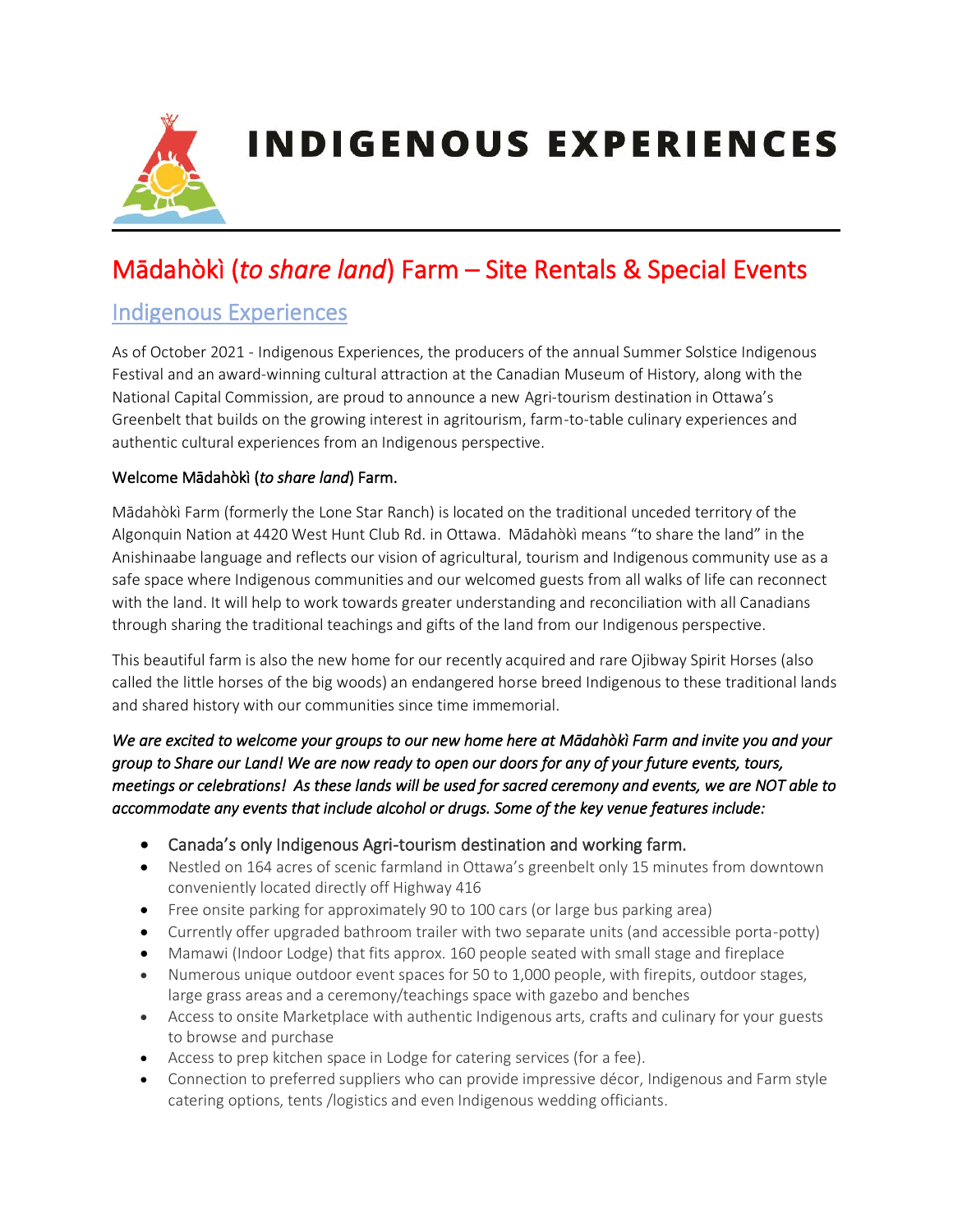

# Mādahòkì (*to share land*) Farm – Site Rentals & Special Events

#### Indigenous Experiences

As of October 2021 - Indigenous Experiences, the producers of the annual Summer Solstice Indigenous Festival and an award-winning cultural attraction at the Canadian Museum of History, along with the National Capital Commission, are proud to announce a new Agri-tourism destination in Ottawa's Greenbelt that builds on the growing interest in agritourism, farm-to-table culinary experiences and authentic cultural experiences from an Indigenous perspective.

#### Welcome Mādahòkì (*to share land*) Farm.

Mādahòkì Farm (formerly the Lone Star Ranch) is located on the traditional unceded territory of the Algonquin Nation at 4420 West Hunt Club Rd. in Ottawa. Mādahòkì means "to share the land" in the Anishinaabe language and reflects our vision of agricultural, tourism and Indigenous community use as a safe space where Indigenous communities and our welcomed guests from all walks of life can reconnect with the land. It will help to work towards greater understanding and reconciliation with all Canadians through sharing the traditional teachings and gifts of the land from our Indigenous perspective.

This beautiful farm is also the new home for our recently acquired and rare Ojibway Spirit Horses (also called the little horses of the big woods) an endangered horse breed Indigenous to these traditional lands and shared history with our communities since time immemorial.

*We are excited to welcome your groups to our new home here at Mādahòkì Farm and invite you and your group to Share our Land! We are now ready to open our doors for any of your future events, tours, meetings or celebrations! As these lands will be used for sacred ceremony and events, we are NOT able to accommodate any events that include alcohol or drugs. Some of the key venue features include:* 

- Canada's only Indigenous Agri-tourism destination and working farm.
- Nestled on 164 acres of scenic farmland in Ottawa's greenbelt only 15 minutes from downtown conveniently located directly off Highway 416
- Free onsite parking for approximately 90 to 100 cars (or large bus parking area)
- Currently offer upgraded bathroom trailer with two separate units (and accessible porta-potty)
- Mamawi (Indoor Lodge) that fits approx. 160 people seated with small stage and fireplace
- Numerous unique outdoor event spaces for 50 to 1,000 people, with firepits, outdoor stages, large grass areas and a ceremony/teachings space with gazebo and benches
- Access to onsite Marketplace with authentic Indigenous arts, crafts and culinary for your guests to browse and purchase
- Access to prep kitchen space in Lodge for catering services (for a fee).
- Connection to preferred suppliers who can provide impressive décor, Indigenous and Farm style catering options, tents /logistics and even Indigenous wedding officiants.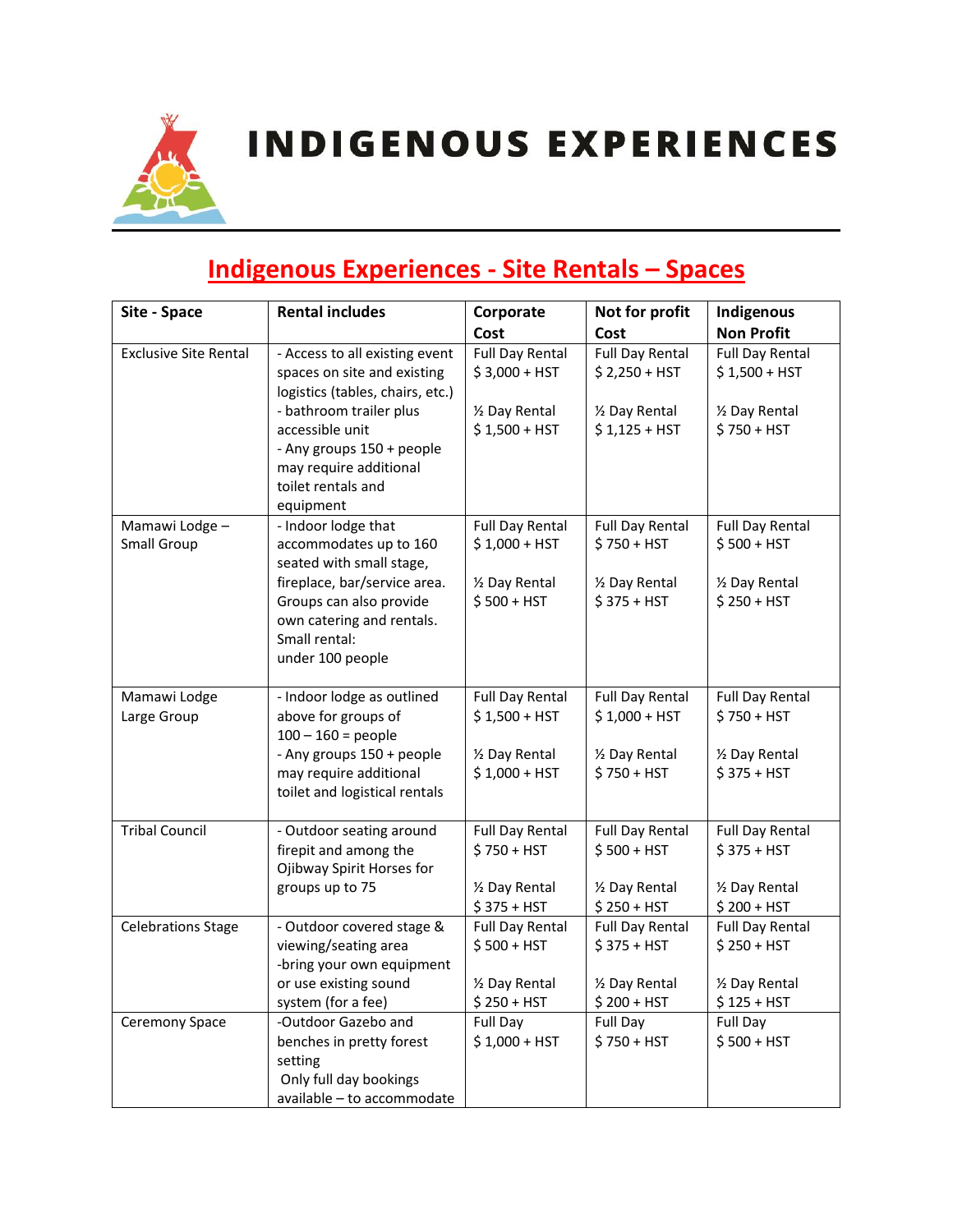# **Indigenous Experiences - Site Rentals – Spaces**

| Site - Space                 | <b>Rental includes</b>                               | Corporate                      | Not for profit                 | Indigenous                     |
|------------------------------|------------------------------------------------------|--------------------------------|--------------------------------|--------------------------------|
|                              |                                                      | Cost                           | Cost                           | <b>Non Profit</b>              |
| <b>Exclusive Site Rental</b> | - Access to all existing event                       | <b>Full Day Rental</b>         | <b>Full Day Rental</b>         | <b>Full Day Rental</b>         |
|                              | spaces on site and existing                          | \$3,000 + HST                  | $$2,250 + HST$                 | $$1,500 + HST$                 |
|                              | logistics (tables, chairs, etc.)                     |                                |                                |                                |
|                              | - bathroom trailer plus                              | 1/2 Day Rental                 | 1/2 Day Rental                 | 1/2 Day Rental                 |
|                              | accessible unit                                      | $$1,500 + HST$                 | $$1,125 + HST$                 | \$750 + HST                    |
|                              | - Any groups 150 + people                            |                                |                                |                                |
|                              | may require additional                               |                                |                                |                                |
|                              | toilet rentals and                                   |                                |                                |                                |
|                              | equipment                                            |                                |                                |                                |
| Mamawi Lodge -               | - Indoor lodge that                                  | <b>Full Day Rental</b>         | <b>Full Day Rental</b>         | <b>Full Day Rental</b>         |
| Small Group                  | accommodates up to 160                               | $$1,000 + HST$                 | $$750 + HST$                   | $$500 + HST$                   |
|                              | seated with small stage,                             |                                |                                |                                |
|                              | fireplace, bar/service area.                         | 1/2 Day Rental<br>$$500 + HST$ | 1/2 Day Rental<br>$$375 + HST$ | 1/2 Day Rental<br>$$250 + HST$ |
|                              | Groups can also provide<br>own catering and rentals. |                                |                                |                                |
|                              | Small rental:                                        |                                |                                |                                |
|                              | under 100 people                                     |                                |                                |                                |
|                              |                                                      |                                |                                |                                |
| Mamawi Lodge                 | - Indoor lodge as outlined                           | <b>Full Day Rental</b>         | <b>Full Day Rental</b>         | <b>Full Day Rental</b>         |
| Large Group                  | above for groups of                                  | $$1,500 + HST$                 | $$1,000 + HST$                 | $$750 + HST$                   |
|                              | $100 - 160 =$ people                                 |                                |                                |                                |
|                              | - Any groups 150 + people                            | 1/2 Day Rental                 | 1/2 Day Rental                 | 1/2 Day Rental                 |
|                              | may require additional                               | $$1,000 + HST$                 | $$750 + HST$                   | $$375 + HST$                   |
|                              | toilet and logistical rentals                        |                                |                                |                                |
|                              |                                                      |                                |                                |                                |
| <b>Tribal Council</b>        | - Outdoor seating around                             | <b>Full Day Rental</b>         | <b>Full Day Rental</b>         | <b>Full Day Rental</b>         |
|                              | firepit and among the                                | $$750 + HST$                   | $$500 + HST$                   | $$375 + HST$                   |
|                              | Ojibway Spirit Horses for                            |                                |                                |                                |
|                              | groups up to 75                                      | 1/2 Day Rental<br>$$375 + HST$ | 1/2 Day Rental<br>$$250 + HST$ | 1/2 Day Rental<br>$$200 + HST$ |
| <b>Celebrations Stage</b>    | - Outdoor covered stage &                            | <b>Full Day Rental</b>         | <b>Full Day Rental</b>         | <b>Full Day Rental</b>         |
|                              | viewing/seating area                                 | $$500 + HST$                   | $$375 + HST$                   | $$250 + HST$                   |
|                              | -bring your own equipment                            |                                |                                |                                |
|                              | or use existing sound                                | 1/2 Day Rental                 | 1/2 Day Rental                 | 1/2 Day Rental                 |
|                              | system (for a fee)                                   | $$250 + HST$                   | $$200 + HST$                   | $$125 + HST$                   |
| Ceremony Space               | -Outdoor Gazebo and                                  | Full Day                       | Full Day                       | Full Day                       |
|                              | benches in pretty forest                             | $$1,000 + HST$                 | $$750 + HST$                   | $$500 + HST$                   |
|                              | setting                                              |                                |                                |                                |
|                              | Only full day bookings                               |                                |                                |                                |
|                              | available - to accommodate                           |                                |                                |                                |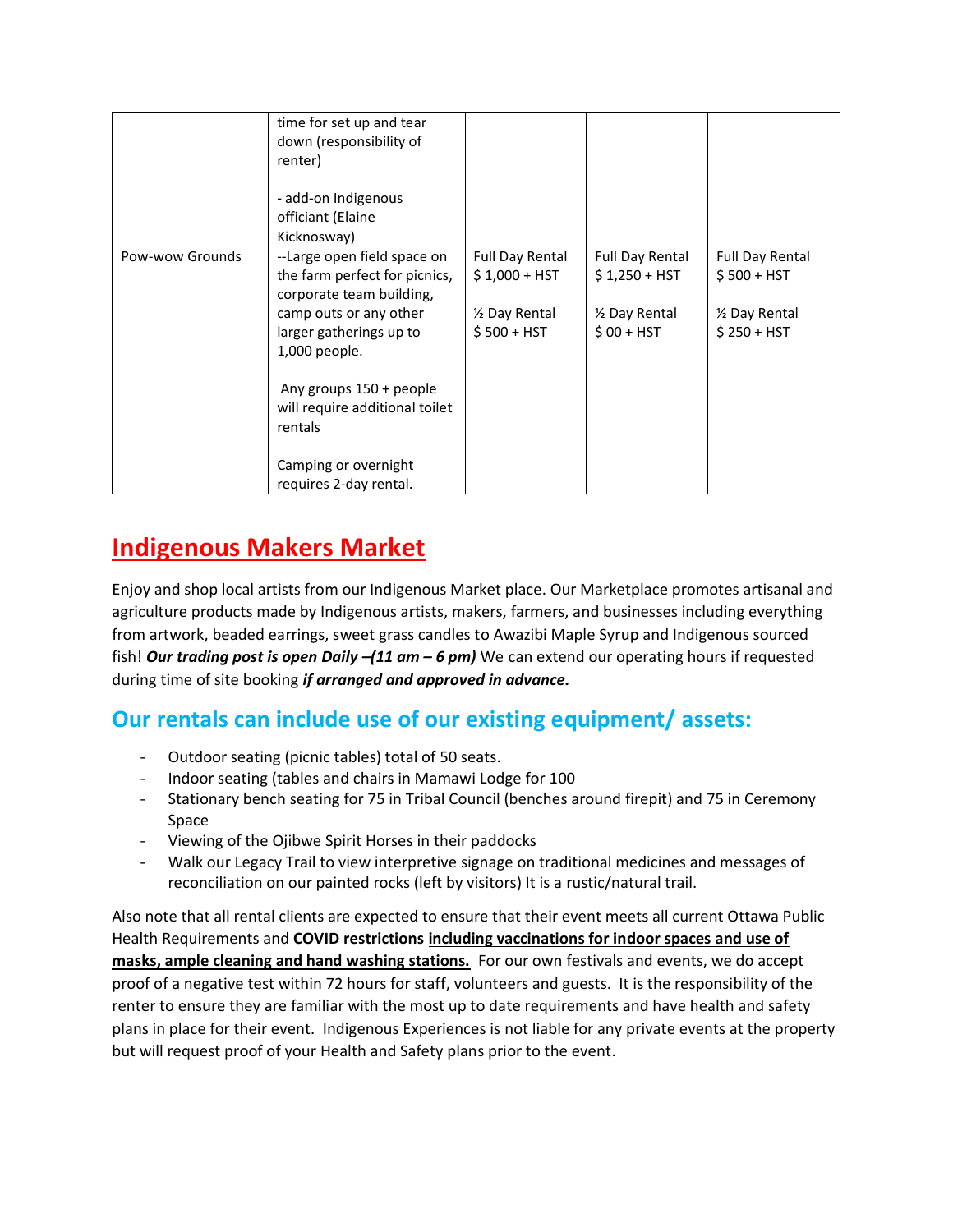|                 | time for set up and tear<br>down (responsibility of<br>renter)<br>- add-on Indigenous<br>officiant (Elaine<br>Kicknosway)                                                                                                                                                                |                                                                            |                                                                           |                                                                                      |
|-----------------|------------------------------------------------------------------------------------------------------------------------------------------------------------------------------------------------------------------------------------------------------------------------------------------|----------------------------------------------------------------------------|---------------------------------------------------------------------------|--------------------------------------------------------------------------------------|
| Pow-wow Grounds | --Large open field space on<br>the farm perfect for picnics,<br>corporate team building,<br>camp outs or any other<br>larger gatherings up to<br>1,000 people.<br>Any groups 150 + people<br>will require additional toilet<br>rentals<br>Camping or overnight<br>requires 2-day rental. | <b>Full Day Rental</b><br>$$1,000 + HST$<br>1/2 Day Rental<br>$$500 + HST$ | <b>Full Day Rental</b><br>$$1,250 + HST$<br>1/2 Day Rental<br>$$00 + HST$ | <b>Full Day Rental</b><br>$$500 + HST$<br>1/ <sub>2</sub> Day Rental<br>$$250 + HST$ |

### **Indigenous Makers Market**

Enjoy and shop local artists from our Indigenous Market place. Our Marketplace promotes artisanal and agriculture products made by Indigenous artists, makers, farmers, and businesses including everything from artwork, beaded earrings, sweet grass candles to Awazibi Maple Syrup and Indigenous sourced fish! *Our trading post is open Daily –(11 am – 6 pm)* We can extend our operating hours if requested during time of site booking *if arranged and approved in advance.* 

#### **Our rentals can include use of our existing equipment/ assets:**

- Outdoor seating (picnic tables) total of 50 seats.
- Indoor seating (tables and chairs in Mamawi Lodge for 100
- Stationary bench seating for 75 in Tribal Council (benches around firepit) and 75 in Ceremony Space
- Viewing of the Ojibwe Spirit Horses in their paddocks
- Walk our Legacy Trail to view interpretive signage on traditional medicines and messages of reconciliation on our painted rocks (left by visitors) It is a rustic/natural trail.

Also note that all rental clients are expected to ensure that their event meets all current Ottawa Public Health Requirements and **COVID restrictions including vaccinations for indoor spaces and use of masks, ample cleaning and hand washing stations.** For our own festivals and events, we do accept proof of a negative test within 72 hours for staff, volunteers and guests. It is the responsibility of the renter to ensure they are familiar with the most up to date requirements and have health and safety plans in place for their event. Indigenous Experiences is not liable for any private events at the property but will request proof of your Health and Safety plans prior to the event.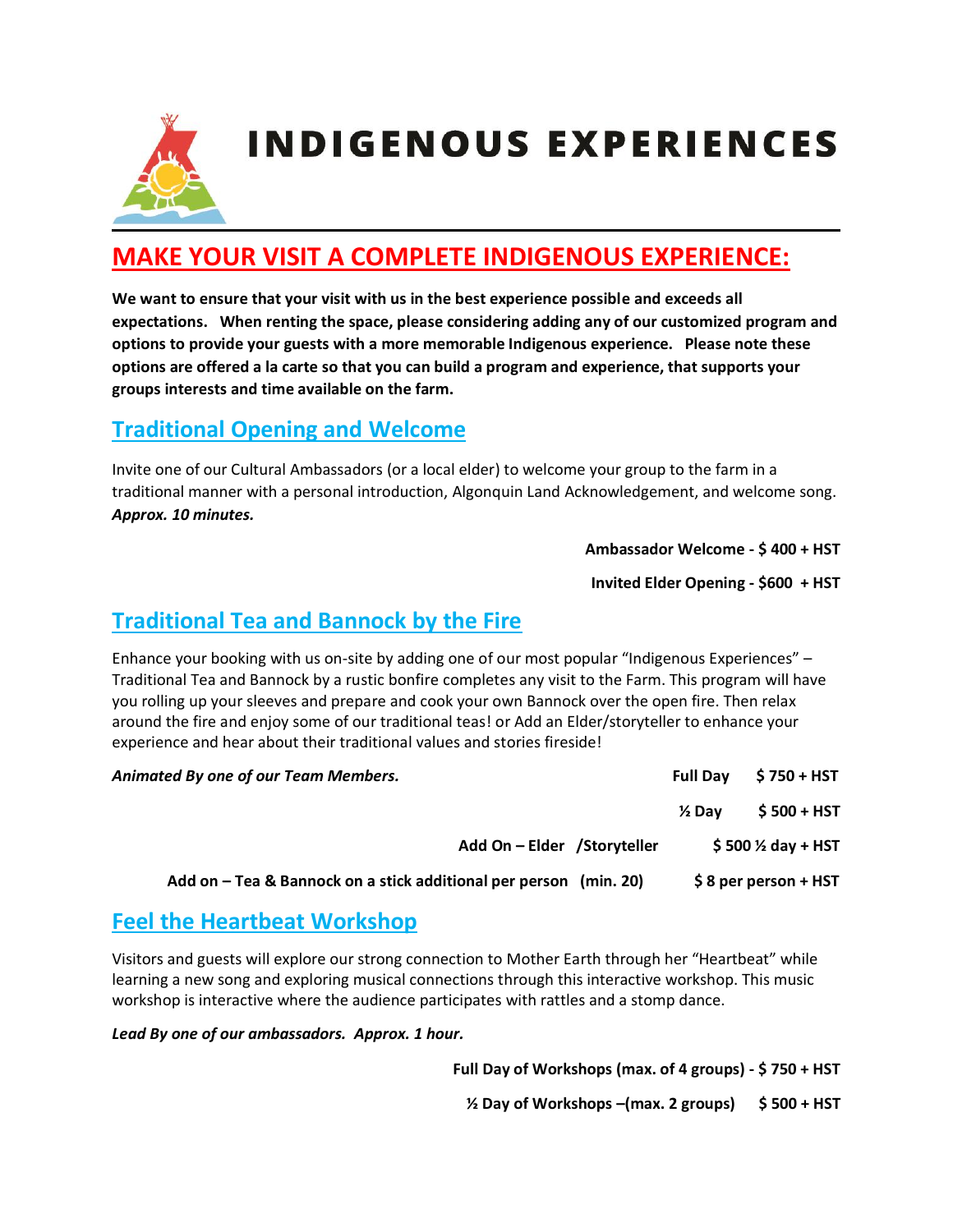

### **MAKE YOUR VISIT A COMPLETE INDIGENOUS EXPERIENCE:**

**We want to ensure that your visit with us in the best experience possible and exceeds all expectations. When renting the space, please considering adding any of our customized program and options to provide your guests with a more memorable Indigenous experience. Please note these options are offered a la carte so that you can build a program and experience, that supports your groups interests and time available on the farm.** 

#### **Traditional Opening and Welcome**

Invite one of our Cultural Ambassadors (or a local elder) to welcome your group to the farm in a traditional manner with a personal introduction, Algonquin Land Acknowledgement, and welcome song. *Approx. 10 minutes.*

#### **Ambassador Welcome - \$ 400 + HST**

**Invited Elder Opening - \$600 + HST** 

#### **Traditional Tea and Bannock by the Fire**

Enhance your booking with us on-site by adding one of our most popular "Indigenous Experiences" – Traditional Tea and Bannock by a rustic bonfire completes any visit to the Farm. This program will have you rolling up your sleeves and prepare and cook your own Bannock over the open fire. Then relax around the fire and enjoy some of our traditional teas! or Add an Elder/storyteller to enhance your experience and hear about their traditional values and stories fireside!

| Animated By one of our Team Members.                              | <b>Full Dav</b>   | $$750+HST$                    |
|-------------------------------------------------------------------|-------------------|-------------------------------|
|                                                                   | $\frac{1}{2}$ Dav | $$500+HST$                    |
| Add On - Elder / Storyteller                                      |                   | \$500 $\frac{1}{2}$ day + HST |
| Add on – Tea & Bannock on a stick additional per person (min. 20) |                   | $$8$ per person + HST         |

#### **Feel the Heartbeat Workshop**

Visitors and guests will explore our strong connection to Mother Earth through her "Heartbeat" while learning a new song and exploring musical connections through this interactive workshop. This music workshop is interactive where the audience participates with rattles and a stomp dance.

*Lead By one of our ambassadors. Approx. 1 hour.* 

**Full Day of Workshops (max. of 4 groups) - \$ 750 + HST** 

**½ Day of Workshops –(max. 2 groups) \$ 500 + HST**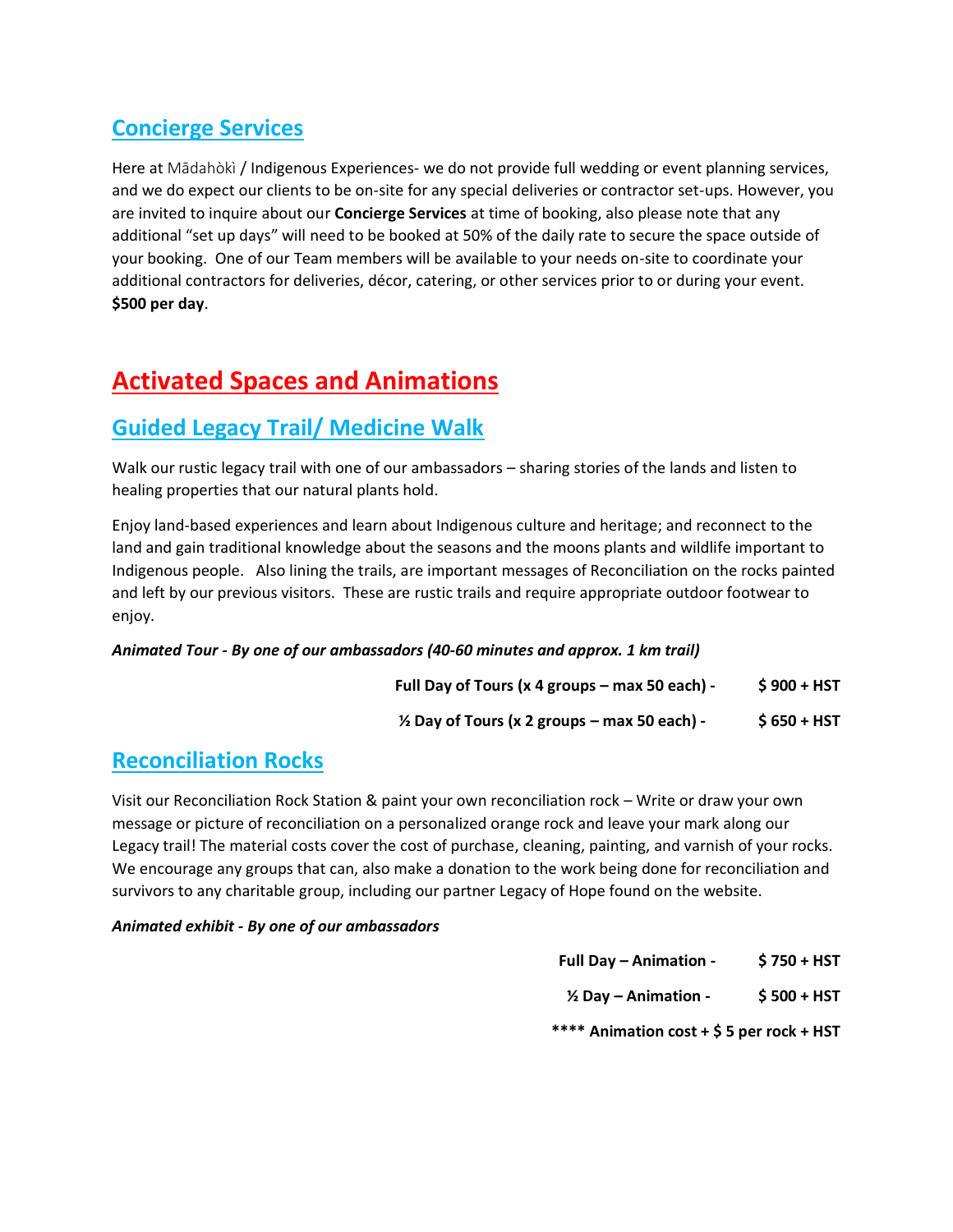### **Concierge Services**

Here at Mādahòkì / Indigenous Experiences- we do not provide full wedding or event planning services, and we do expect our clients to be on-site for any special deliveries or contractor set-ups. However, you are invited to inquire about our **Concierge Services** at time of booking, also please note that any additional "set up days" will need to be booked at 50% of the daily rate to secure the space outside of your booking. One of our Team members will be available to your needs on-site to coordinate your additional contractors for deliveries, décor, catering, or other services prior to or during your event. **\$500 per day**.

# **Activated Spaces and Animations**

#### **Guided Legacy Trail/ Medicine Walk**

Walk our rustic legacy trail with one of our ambassadors – sharing stories of the lands and listen to healing properties that our natural plants hold.

Enjoy land-based experiences and learn about Indigenous culture and heritage; and reconnect to the land and gain traditional knowledge about the seasons and the moons plants and wildlife important to Indigenous people. Also lining the trails, are important messages of Reconciliation on the rocks painted and left by our previous visitors. These are rustic trails and require appropriate outdoor footwear to enjoy.

#### *Animated Tour - By one of our ambassadors (40-60 minutes and approx. 1 km trail)*

**Full Day of Tours (x 4 groups – max 50 each) - \$ 900 + HST** 

**½ Day of Tours (x 2 groups – max 50 each) - \$ 650 + HST**

#### **Reconciliation Rocks**

Visit our Reconciliation Rock Station & paint your own reconciliation rock – Write or draw your own message or picture of reconciliation on a personalized orange rock and leave your mark along our Legacy trail! The material costs cover the cost of purchase, cleaning, painting, and varnish of your rocks. We encourage any groups that can, also make a donation to the work being done for reconciliation and survivors to any charitable group, including our partner Legacy of Hope found on the website.

#### *Animated exhibit - By one of our ambassadors*

- **Full Day – Animation \$ 750 + HST**
- **½ Day – Animation \$ 500 + HST**

**\*\*\*\* Animation cost + \$ 5 per rock + HST**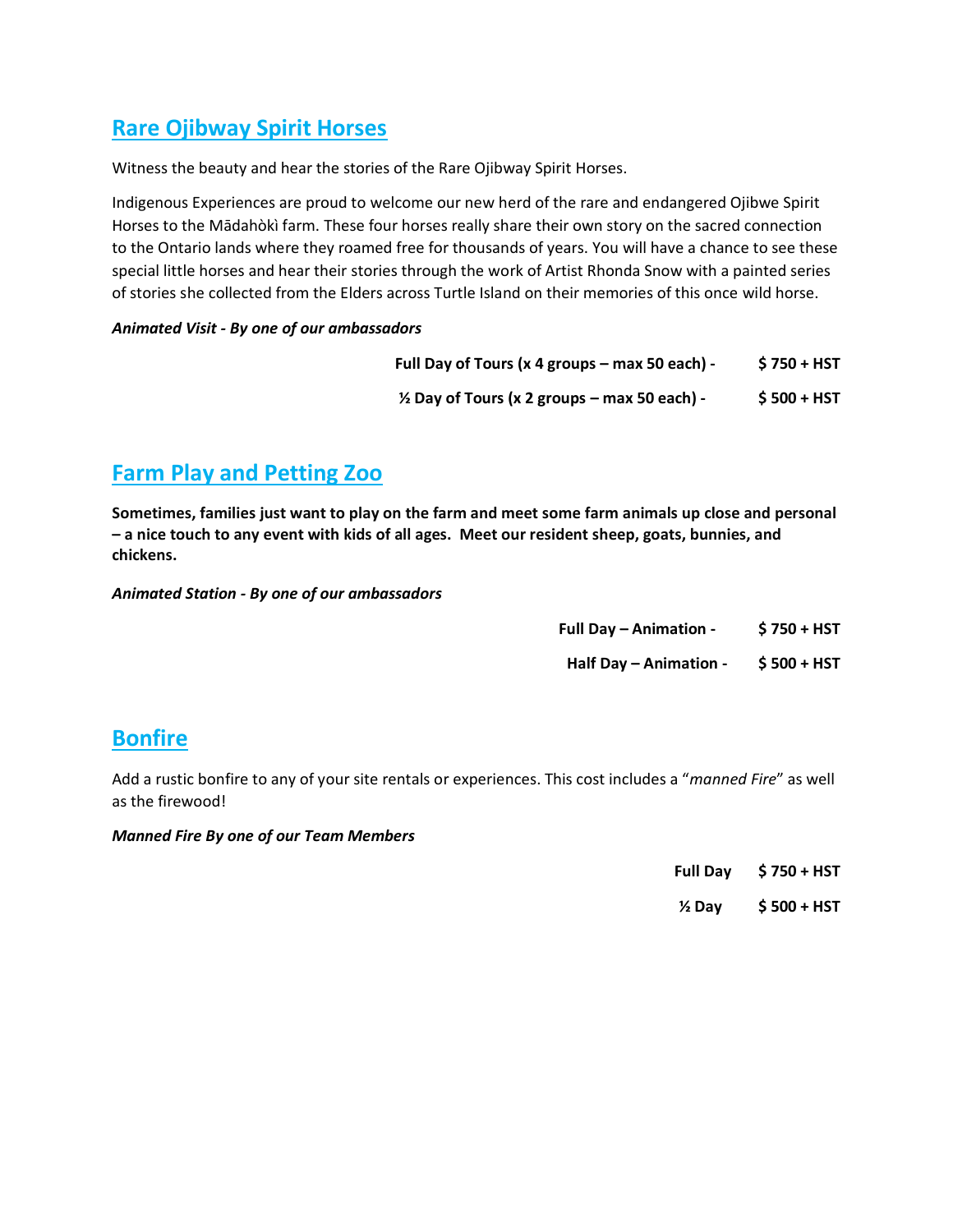#### **Rare Ojibway Spirit Horses**

Witness the beauty and hear the stories of the Rare Ojibway Spirit Horses.

Indigenous Experiences are proud to welcome our new herd of the rare and endangered Ojibwe Spirit Horses to the Mādahòkì farm. These four horses really share their own story on the sacred connection to the Ontario lands where they roamed free for thousands of years. You will have a chance to see these special little horses and hear their stories through the work of Artist Rhonda Snow with a painted series of stories she collected from the Elders across Turtle Island on their memories of this once wild horse.

#### *Animated Visit - By one of our ambassadors*

**Full Day of Tours (x 4 groups – max 50 each) - \$ 750 + HST** 

**½ Day of Tours (x 2 groups – max 50 each) - \$ 500 + HST**

#### **Farm Play and Petting Zoo**

**Sometimes, families just want to play on the farm and meet some farm animals up close and personal – a nice touch to any event with kids of all ages. Meet our resident sheep, goats, bunnies, and chickens.**

*Animated Station - By one of our ambassadors* 

- **Full Day – Animation \$ 750 + HST**
- **Half Day – Animation \$ 500 + HST**

#### **Bonfire**

Add a rustic bonfire to any of your site rentals or experiences. This cost includes a "*manned Fire*" as well as the firewood!

#### *Manned Fire By one of our Team Members*

- **Full Day \$ 750 + HST**
- **½ Day \$ 500 + HST**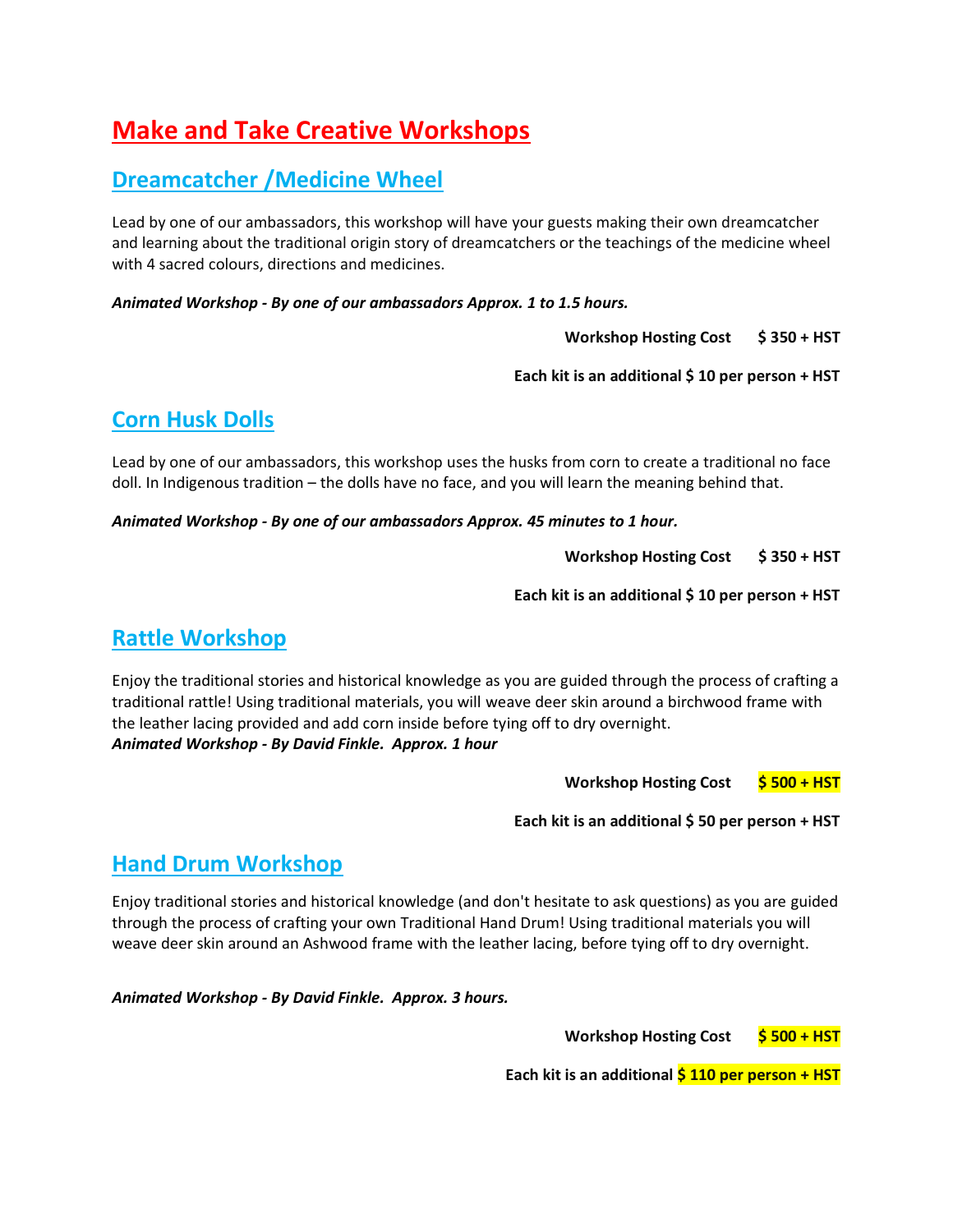## **Make and Take Creative Workshops**

#### **Dreamcatcher /Medicine Wheel**

Lead by one of our ambassadors, this workshop will have your guests making their own dreamcatcher and learning about the traditional origin story of dreamcatchers or the teachings of the medicine wheel with 4 sacred colours, directions and medicines.

*Animated Workshop - By one of our ambassadors Approx. 1 to 1.5 hours.* 

**Workshop Hosting Cost**  $\frac{1}{2}$  **\$ 350 + HST** 

**Each kit is an additional \$ 10 per person + HST** 

#### **Corn Husk Dolls**

Lead by one of our ambassadors, this workshop uses the husks from corn to create a traditional no face doll. In Indigenous tradition – the dolls have no face, and you will learn the meaning behind that.

*Animated Workshop - By one of our ambassadors Approx. 45 minutes to 1 hour.* 

**Workshop Hosting Cost \$350 + HST** 

**Each kit is an additional \$ 10 per person + HST** 

#### **Rattle Workshop**

Enjoy the traditional stories and historical knowledge as you are guided through the process of crafting a traditional rattle! Using traditional materials, you will weave deer skin around a birchwood frame with the leather lacing provided and add corn inside before tying off to dry overnight. *Animated Workshop - By David Finkle. Approx. 1 hour* 

**Workshop Hosting Cost** \$500 + HST

**Each kit is an additional \$ 50 per person + HST** 

#### **Hand Drum Workshop**

Enjoy traditional stories and historical knowledge (and don't hesitate to ask questions) as you are guided through the process of crafting your own Traditional Hand Drum! Using traditional materials you will weave deer skin around an Ashwood frame with the leather lacing, before tying off to dry overnight.

*Animated Workshop - By David Finkle. Approx. 3 hours.* 

**Workshop Hosting Cost \$ 500 + HST**

Each kit is an additional  $\frac{1}{5}$  110 per person + HST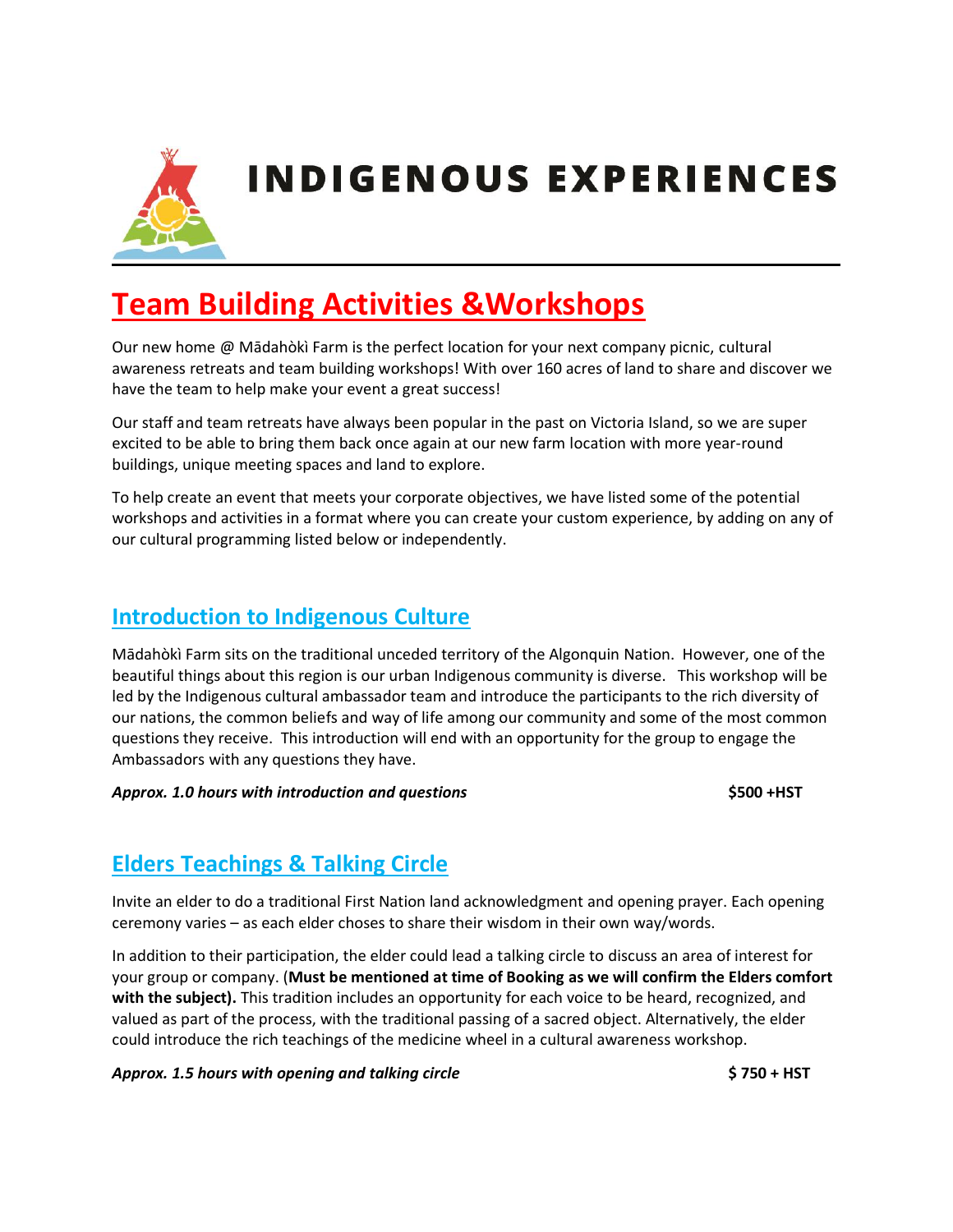

# **Team Building Activities &Workshops**

Our new home @ Mādahòkì Farm is the perfect location for your next company picnic, cultural awareness retreats and team building workshops! With over 160 acres of land to share and discover we have the team to help make your event a great success!

Our staff and team retreats have always been popular in the past on Victoria Island, so we are super excited to be able to bring them back once again at our new farm location with more year-round buildings, unique meeting spaces and land to explore.

To help create an event that meets your corporate objectives, we have listed some of the potential workshops and activities in a format where you can create your custom experience, by adding on any of our cultural programming listed below or independently.

#### **Introduction to Indigenous Culture**

Mādahòkì Farm sits on the traditional unceded territory of the Algonquin Nation. However, one of the beautiful things about this region is our urban Indigenous community is diverse. This workshop will be led by the Indigenous cultural ambassador team and introduce the participants to the rich diversity of our nations, the common beliefs and way of life among our community and some of the most common questions they receive. This introduction will end with an opportunity for the group to engage the Ambassadors with any questions they have.

*Approx. 1.0 hours with introduction and questions* **\$500 +HST** 

#### **Elders Teachings & Talking Circle**

Invite an elder to do a traditional First Nation land acknowledgment and opening prayer. Each opening ceremony varies – as each elder choses to share their wisdom in their own way/words.

In addition to their participation, the elder could lead a talking circle to discuss an area of interest for your group or company. (**Must be mentioned at time of Booking as we will confirm the Elders comfort with the subject).** This tradition includes an opportunity for each voice to be heard, recognized, and valued as part of the process, with the traditional passing of a sacred object. Alternatively, the elder could introduce the rich teachings of the medicine wheel in a cultural awareness workshop.

*Approx. 1.5 hours with opening and talking circle* **\$ 750 + HST**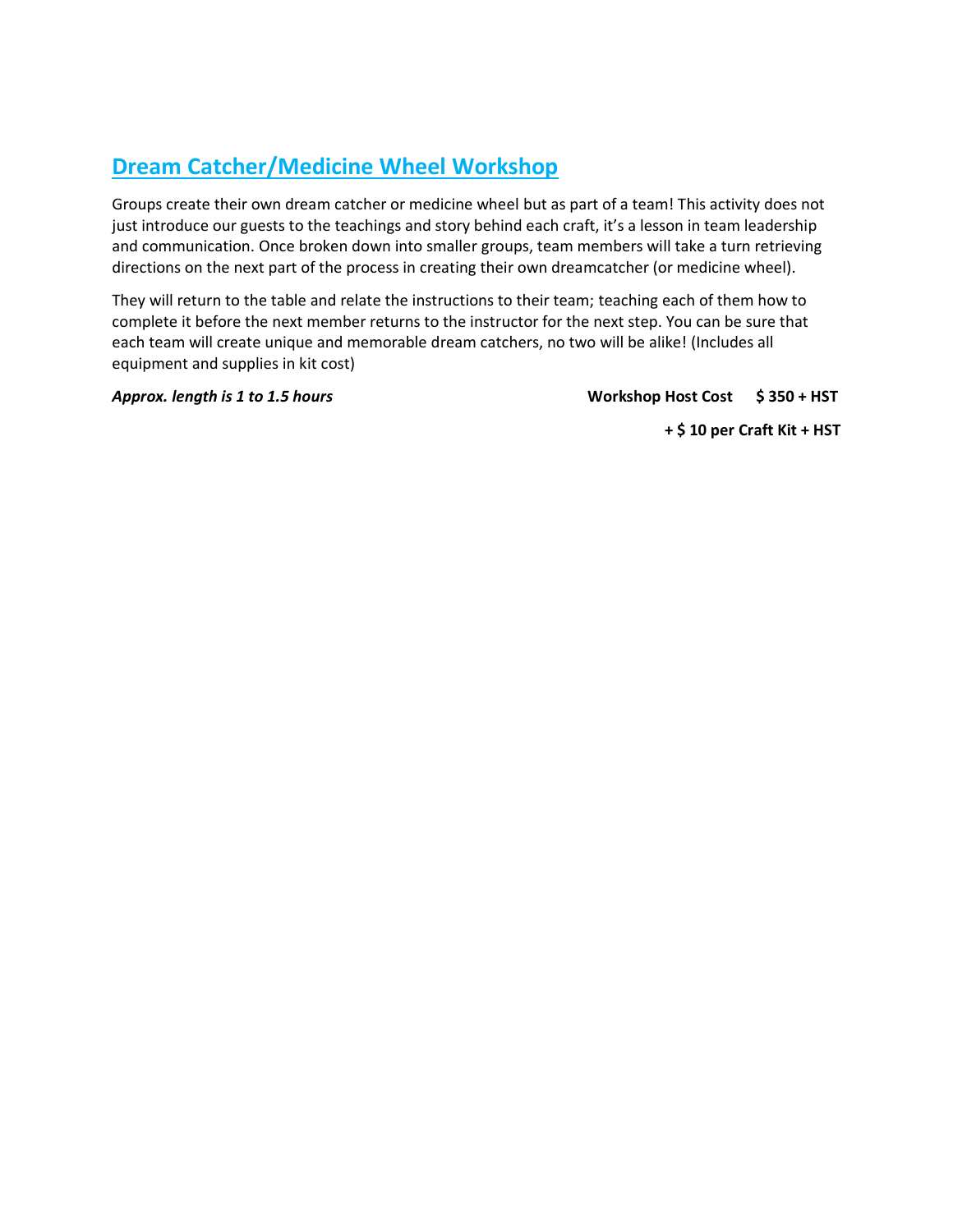#### **Dream Catcher/Medicine Wheel Workshop**

Groups create their own dream catcher or medicine wheel but as part of a team! This activity does not just introduce our guests to the teachings and story behind each craft, it's a lesson in team leadership and communication. Once broken down into smaller groups, team members will take a turn retrieving directions on the next part of the process in creating their own dreamcatcher (or medicine wheel).

They will return to the table and relate the instructions to their team; teaching each of them how to complete it before the next member returns to the instructor for the next step. You can be sure that each team will create unique and memorable dream catchers, no two will be alike! (Includes all equipment and supplies in kit cost)

*Approx. length is 1 to 1.5 hours* **Workshop Host Cost \$ 350 + HST**

**+ \$ 10 per Craft Kit + HST**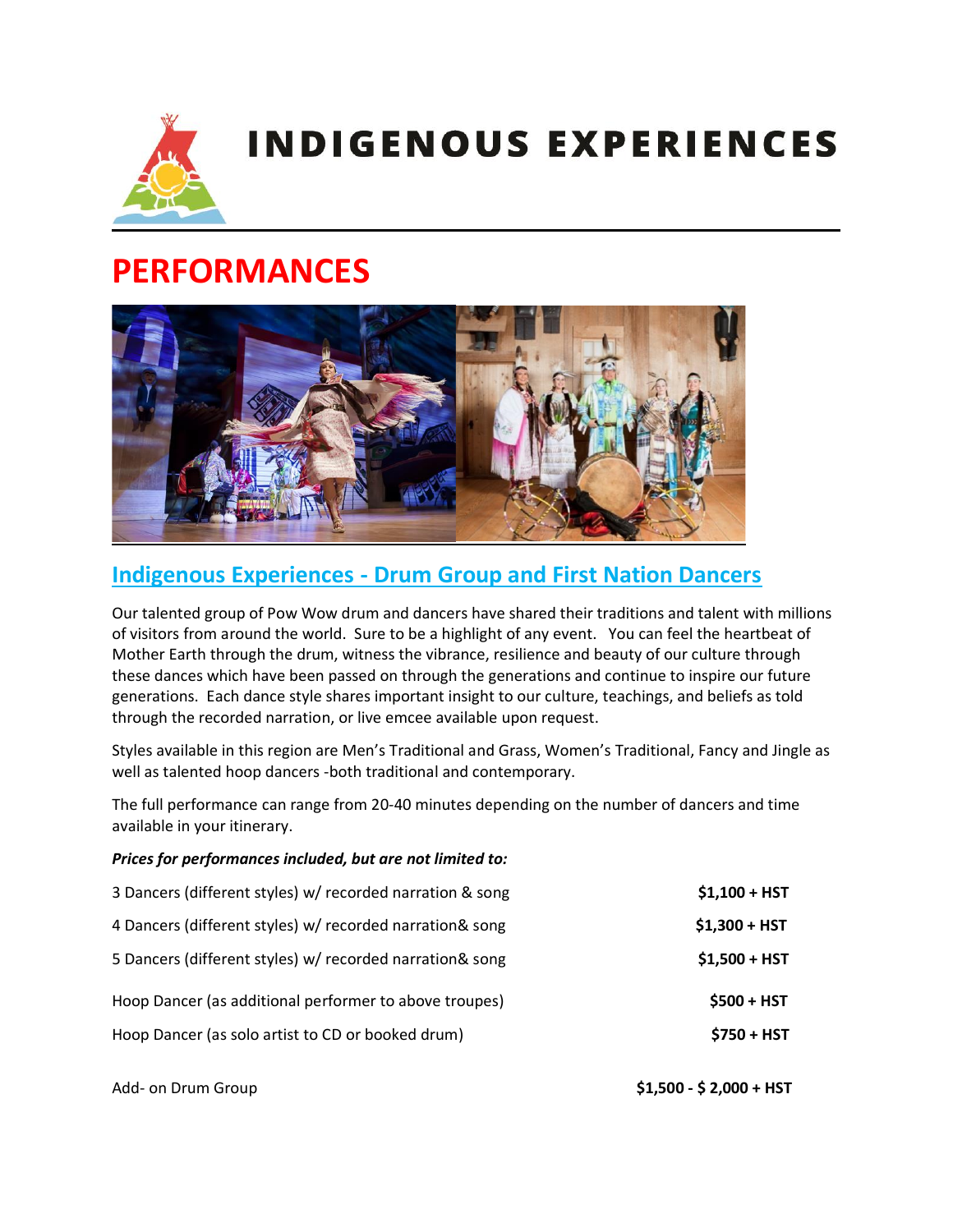

# **PERFORMANCES**



### **Indigenous Experiences - Drum Group and First Nation Dancers**

Our talented group of Pow Wow drum and dancers have shared their traditions and talent with millions of visitors from around the world. Sure to be a highlight of any event. You can feel the heartbeat of Mother Earth through the drum, witness the vibrance, resilience and beauty of our culture through these dances which have been passed on through the generations and continue to inspire our future generations. Each dance style shares important insight to our culture, teachings, and beliefs as told through the recorded narration, or live emcee available upon request.

Styles available in this region are Men's Traditional and Grass, Women's Traditional, Fancy and Jingle as well as talented hoop dancers -both traditional and contemporary.

The full performance can range from 20-40 minutes depending on the number of dancers and time available in your itinerary.

#### *Prices for performances included, but are not limited to:*

| 3 Dancers (different styles) w/ recorded narration & song | $$1,100 + HST$ |
|-----------------------------------------------------------|----------------|
| 4 Dancers (different styles) w/ recorded narration& song  | $$1,300 + HST$ |
| 5 Dancers (different styles) w/ recorded narration& song  | $$1,500 + HST$ |
| Hoop Dancer (as additional performer to above troupes)    | $$500 + HST$   |
| Hoop Dancer (as solo artist to CD or booked drum)         | $$750 + HST$   |
|                                                           |                |

Add- on Drum Group **\$1,500 - \$ 2,000 + HST**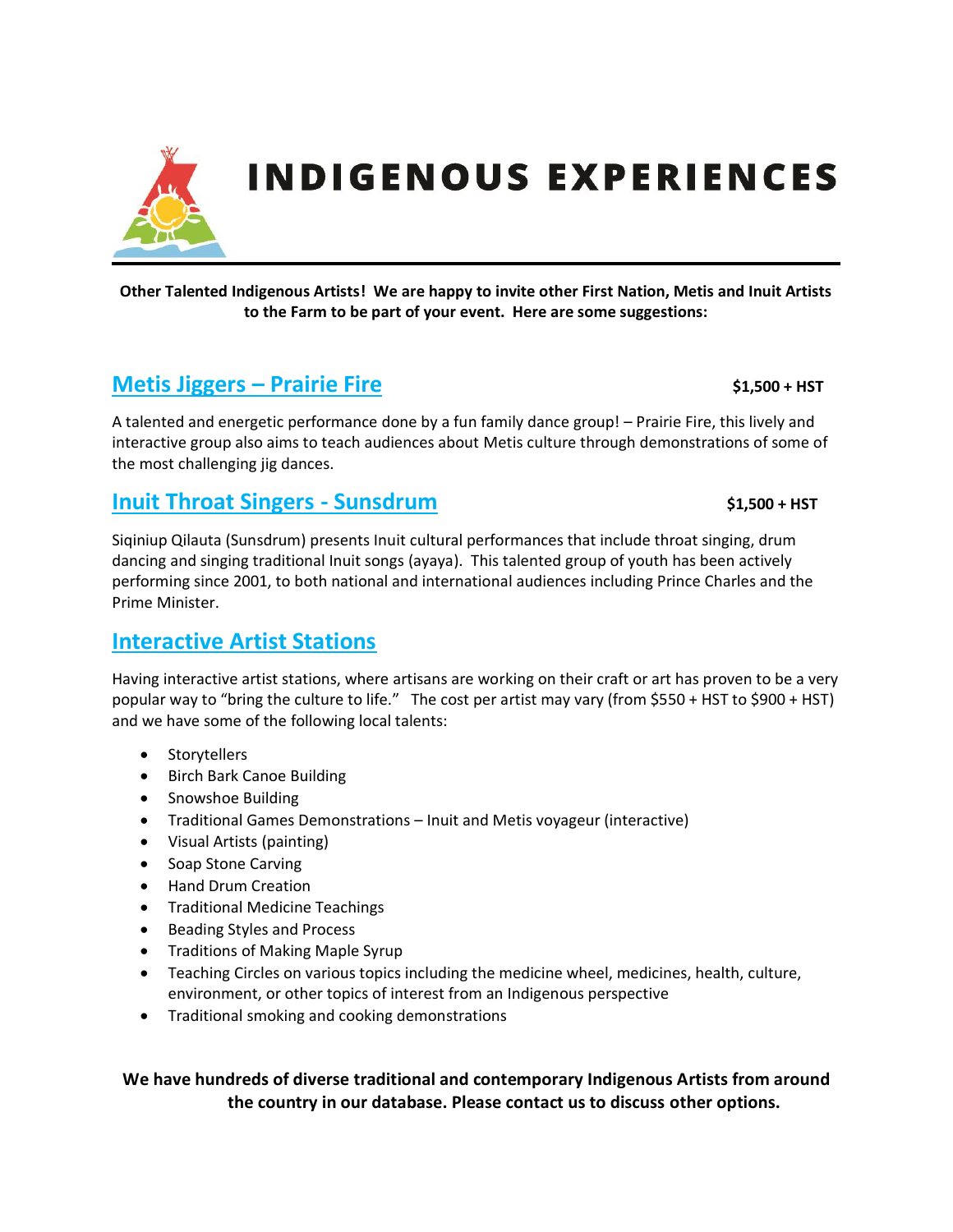

**Other Talented Indigenous Artists! We are happy to invite other First Nation, Metis and Inuit Artists to the Farm to be part of your event. Here are some suggestions:** 

#### **Metis Jiggers – Prairie Fire**  $$1,500 + HST$$

A talented and energetic performance done by a fun family dance group! – Prairie Fire, this lively and interactive group also aims to teach audiences about Metis culture through demonstrations of some of the most challenging jig dances.

#### **Inuit Throat Singers - Sunsdrum** \$1,500 + HST

Siqiniup Qilauta (Sunsdrum) presents Inuit cultural performances that include throat singing, drum dancing and singing traditional Inuit songs (ayaya). This talented group of youth has been actively performing since 2001, to both national and international audiences including Prince Charles and the Prime Minister.

#### **Interactive Artist Stations**

Having interactive artist stations, where artisans are working on their craft or art has proven to be a very popular way to "bring the culture to life." The cost per artist may vary (from \$550 + HST to \$900 + HST) and we have some of the following local talents:

- Storytellers
- Birch Bark Canoe Building
- Snowshoe Building
- Traditional Games Demonstrations Inuit and Metis voyageur (interactive)
- Visual Artists (painting)
- Soap Stone Carving
- Hand Drum Creation
- Traditional Medicine Teachings
- Beading Styles and Process
- Traditions of Making Maple Syrup
- Teaching Circles on various topics including the medicine wheel, medicines, health, culture, environment, or other topics of interest from an Indigenous perspective
- Traditional smoking and cooking demonstrations

**We have hundreds of diverse traditional and contemporary Indigenous Artists from around the country in our database. Please contact us to discuss other options.**